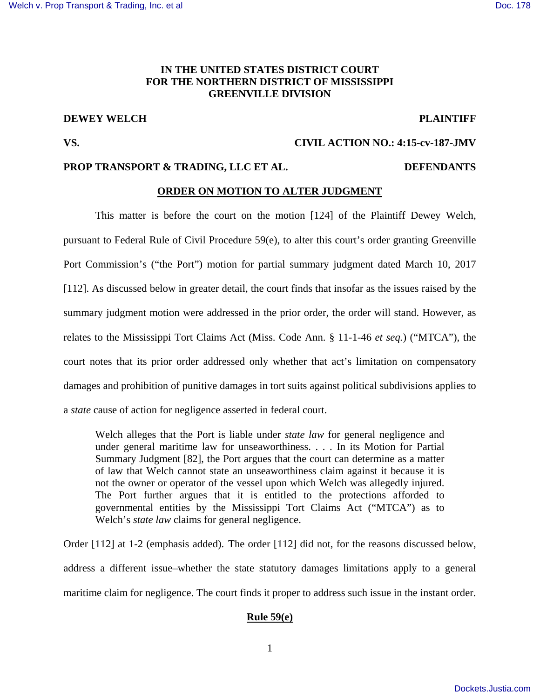# **IN THE UNITED STATES DISTRICT COURT FOR THE NORTHERN DISTRICT OF MISSISSIPPI GREENVILLE DIVISION**

# **DEWEY WELCH PLAINTIFF**

# **VS. CIVIL ACTION NO.: 4:15-cv-187-JMV**

# **PROP TRANSPORT & TRADING, LLC ET AL. DEFENDANTS**

### **ORDER ON MOTION TO ALTER JUDGMENT**

 This matter is before the court on the motion [124] of the Plaintiff Dewey Welch, pursuant to Federal Rule of Civil Procedure 59(e), to alter this court's order granting Greenville Port Commission's ("the Port") motion for partial summary judgment dated March 10, 2017 [112]. As discussed below in greater detail, the court finds that insofar as the issues raised by the summary judgment motion were addressed in the prior order, the order will stand. However, as relates to the Mississippi Tort Claims Act (Miss. Code Ann. § 11-1-46 *et seq.*) ("MTCA"), the court notes that its prior order addressed only whether that act's limitation on compensatory damages and prohibition of punitive damages in tort suits against political subdivisions applies to a *state* cause of action for negligence asserted in federal court.

Welch alleges that the Port is liable under *state law* for general negligence and under general maritime law for unseaworthiness. . . . In its Motion for Partial Summary Judgment [82], the Port argues that the court can determine as a matter of law that Welch cannot state an unseaworthiness claim against it because it is not the owner or operator of the vessel upon which Welch was allegedly injured. The Port further argues that it is entitled to the protections afforded to governmental entities by the Mississippi Tort Claims Act ("MTCA") as to Welch's *state law* claims for general negligence.

Order [112] at 1-2 (emphasis added). The order [112] did not, for the reasons discussed below, address a different issue–whether the state statutory damages limitations apply to a general maritime claim for negligence. The court finds it proper to address such issue in the instant order.

# **Rule 59(e)**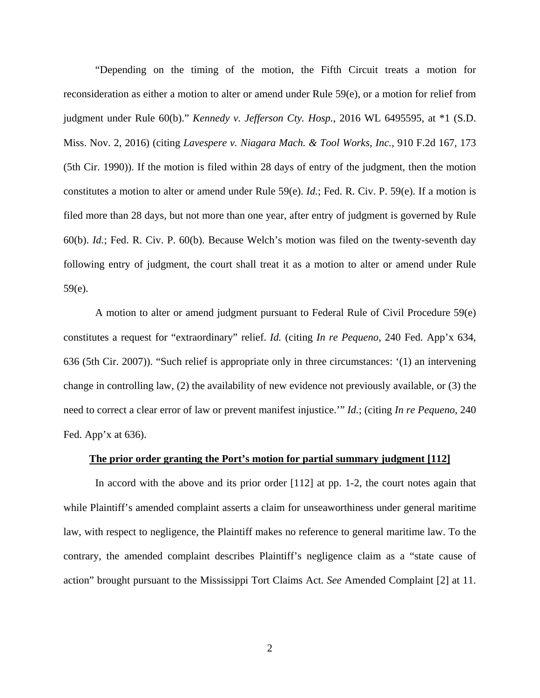"Depending on the timing of the motion, the Fifth Circuit treats a motion for reconsideration as either a motion to alter or amend under Rule 59(e), or a motion for relief from judgment under Rule 60(b)." *Kennedy v. Jefferson Cty. Hosp.*, 2016 WL 6495595, at \*1 (S.D. Miss. Nov. 2, 2016) (citing *Lavespere v. Niagara Mach. & Tool Works, Inc.*, 910 F.2d 167, 173 (5th Cir. 1990)). If the motion is filed within 28 days of entry of the judgment, then the motion constitutes a motion to alter or amend under Rule 59(e). *Id.*; Fed. R. Civ. P. 59(e). If a motion is filed more than 28 days, but not more than one year, after entry of judgment is governed by Rule 60(b). *Id.*; Fed. R. Civ. P. 60(b). Because Welch's motion was filed on the twenty-seventh day following entry of judgment, the court shall treat it as a motion to alter or amend under Rule 59(e).

 A motion to alter or amend judgment pursuant to Federal Rule of Civil Procedure 59(e) constitutes a request for "extraordinary" relief. *Id.* (citing *In re Pequeno*, 240 Fed. App'x 634, 636 (5th Cir. 2007)). "Such relief is appropriate only in three circumstances: '(1) an intervening change in controlling law, (2) the availability of new evidence not previously available, or (3) the need to correct a clear error of law or prevent manifest injustice.'" *Id.*; (citing *In re Pequeno*, 240 Fed. App'x at 636).

#### **The prior order granting the Port's motion for partial summary judgment [112]**

 In accord with the above and its prior order [112] at pp. 1-2, the court notes again that while Plaintiff's amended complaint asserts a claim for unseaworthiness under general maritime law, with respect to negligence, the Plaintiff makes no reference to general maritime law. To the contrary, the amended complaint describes Plaintiff's negligence claim as a "state cause of action" brought pursuant to the Mississippi Tort Claims Act. *See* Amended Complaint [2] at 11.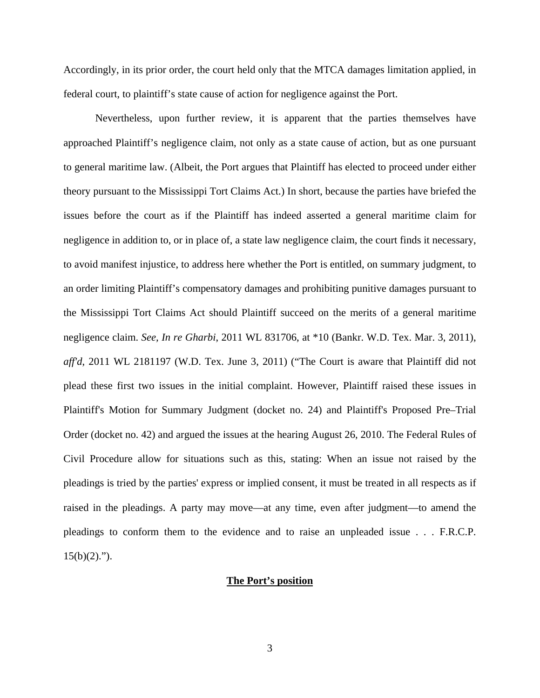Accordingly, in its prior order, the court held only that the MTCA damages limitation applied, in federal court, to plaintiff's state cause of action for negligence against the Port.

 Nevertheless, upon further review, it is apparent that the parties themselves have approached Plaintiff's negligence claim, not only as a state cause of action, but as one pursuant to general maritime law. (Albeit, the Port argues that Plaintiff has elected to proceed under either theory pursuant to the Mississippi Tort Claims Act.) In short, because the parties have briefed the issues before the court as if the Plaintiff has indeed asserted a general maritime claim for negligence in addition to, or in place of, a state law negligence claim, the court finds it necessary, to avoid manifest injustice, to address here whether the Port is entitled, on summary judgment, to an order limiting Plaintiff's compensatory damages and prohibiting punitive damages pursuant to the Mississippi Tort Claims Act should Plaintiff succeed on the merits of a general maritime negligence claim. *See, In re Gharbi*, 2011 WL 831706, at \*10 (Bankr. W.D. Tex. Mar. 3, 2011), *aff'd*, 2011 WL 2181197 (W.D. Tex. June 3, 2011) ("The Court is aware that Plaintiff did not plead these first two issues in the initial complaint. However, Plaintiff raised these issues in Plaintiff's Motion for Summary Judgment (docket no. 24) and Plaintiff's Proposed Pre–Trial Order (docket no. 42) and argued the issues at the hearing August 26, 2010. The Federal Rules of Civil Procedure allow for situations such as this, stating: When an issue not raised by the pleadings is tried by the parties' express or implied consent, it must be treated in all respects as if raised in the pleadings. A party may move—at any time, even after judgment—to amend the pleadings to conform them to the evidence and to raise an unpleaded issue . . . F.R.C.P.  $15(b)(2)$ .").

#### **The Port's position**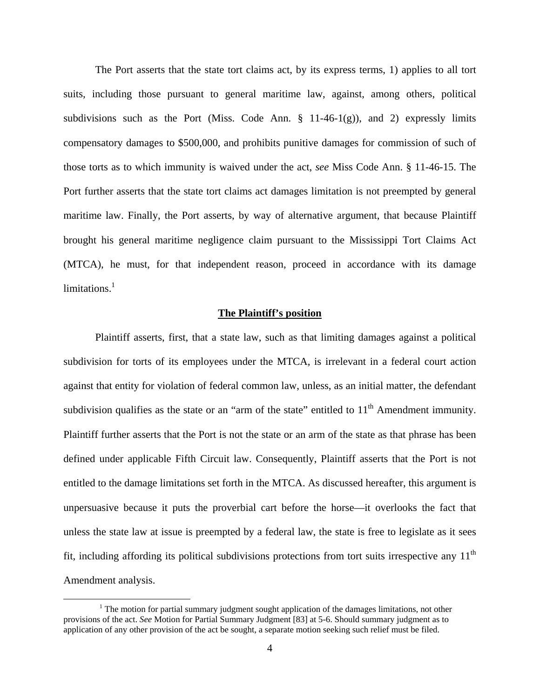The Port asserts that the state tort claims act, by its express terms, 1) applies to all tort suits, including those pursuant to general maritime law, against, among others, political subdivisions such as the Port (Miss. Code Ann.  $\S$  11-46-1(g)), and 2) expressly limits compensatory damages to \$500,000, and prohibits punitive damages for commission of such of those torts as to which immunity is waived under the act, *see* Miss Code Ann. § 11-46-15. The Port further asserts that the state tort claims act damages limitation is not preempted by general maritime law. Finally, the Port asserts, by way of alternative argument, that because Plaintiff brought his general maritime negligence claim pursuant to the Mississippi Tort Claims Act (MTCA), he must, for that independent reason, proceed in accordance with its damage  $limitations<sup>1</sup>$ 

#### **The Plaintiff's position**

 Plaintiff asserts, first, that a state law, such as that limiting damages against a political subdivision for torts of its employees under the MTCA, is irrelevant in a federal court action against that entity for violation of federal common law, unless, as an initial matter, the defendant subdivision qualifies as the state or an "arm of the state" entitled to  $11<sup>th</sup>$  Amendment immunity. Plaintiff further asserts that the Port is not the state or an arm of the state as that phrase has been defined under applicable Fifth Circuit law. Consequently, Plaintiff asserts that the Port is not entitled to the damage limitations set forth in the MTCA. As discussed hereafter, this argument is unpersuasive because it puts the proverbial cart before the horse—it overlooks the fact that unless the state law at issue is preempted by a federal law, the state is free to legislate as it sees fit, including affording its political subdivisions protections from tort suits irrespective any 11<sup>th</sup> Amendment analysis.

<u>.</u>

<sup>&</sup>lt;sup>1</sup> The motion for partial summary judgment sought application of the damages limitations, not other provisions of the act. *See* Motion for Partial Summary Judgment [83] at 5-6. Should summary judgment as to application of any other provision of the act be sought, a separate motion seeking such relief must be filed.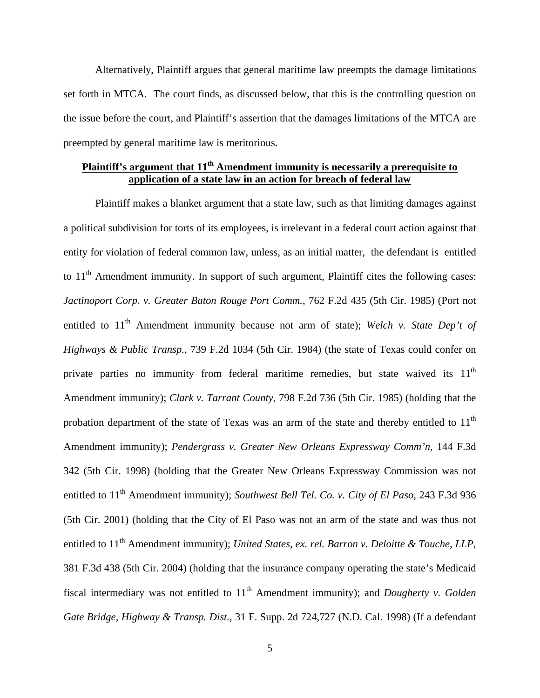Alternatively, Plaintiff argues that general maritime law preempts the damage limitations set forth in MTCA. The court finds, as discussed below, that this is the controlling question on the issue before the court, and Plaintiff's assertion that the damages limitations of the MTCA are preempted by general maritime law is meritorious.

# **Plaintiff's argument that 11th Amendment immunity is necessarily a prerequisite to application of a state law in an action for breach of federal law**

 Plaintiff makes a blanket argument that a state law, such as that limiting damages against a political subdivision for torts of its employees, is irrelevant in a federal court action against that entity for violation of federal common law, unless, as an initial matter, the defendant is entitled to  $11<sup>th</sup>$  Amendment immunity. In support of such argument, Plaintiff cites the following cases: *Jactinoport Corp. v. Greater Baton Rouge Port Comm.*, 762 F.2d 435 (5th Cir. 1985) (Port not entitled to 11<sup>th</sup> Amendment immunity because not arm of state); *Welch v. State Dep't of Highways & Public Transp.*, 739 F.2d 1034 (5th Cir. 1984) (the state of Texas could confer on private parties no immunity from federal maritime remedies, but state waived its 11<sup>th</sup> Amendment immunity); *Clark v. Tarrant County*, 798 F.2d 736 (5th Cir. 1985) (holding that the probation department of the state of Texas was an arm of the state and thereby entitled to  $11<sup>th</sup>$ Amendment immunity); *Pendergrass v. Greater New Orleans Expressway Comm'n*, 144 F.3d 342 (5th Cir. 1998) (holding that the Greater New Orleans Expressway Commission was not entitled to 11<sup>th</sup> Amendment immunity); *Southwest Bell Tel. Co. v. City of El Paso*, 243 F.3d 936 (5th Cir. 2001) (holding that the City of El Paso was not an arm of the state and was thus not entitled to 11<sup>th</sup> Amendment immunity); *United States, ex. rel. Barron v. Deloitte & Touche, LLP*, 381 F.3d 438 (5th Cir. 2004) (holding that the insurance company operating the state's Medicaid fiscal intermediary was not entitled to 11<sup>th</sup> Amendment immunity); and *Dougherty v. Golden Gate Bridge, Highway & Transp. Dist.*, 31 F. Supp. 2d 724,727 (N.D. Cal. 1998) (If a defendant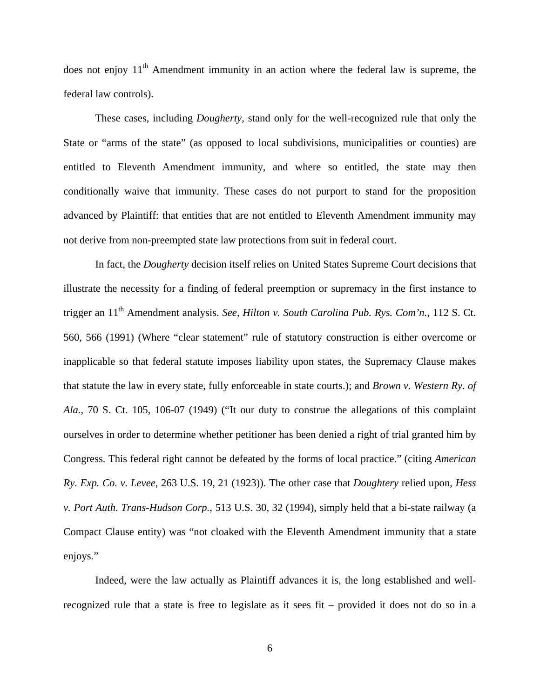does not enjoy  $11<sup>th</sup>$  Amendment immunity in an action where the federal law is supreme, the federal law controls).

 These cases, including *Dougherty,* stand only for the well-recognized rule that only the State or "arms of the state" (as opposed to local subdivisions, municipalities or counties) are entitled to Eleventh Amendment immunity, and where so entitled, the state may then conditionally waive that immunity. These cases do not purport to stand for the proposition advanced by Plaintiff: that entities that are not entitled to Eleventh Amendment immunity may not derive from non-preempted state law protections from suit in federal court.

 In fact, the *Dougherty* decision itself relies on United States Supreme Court decisions that illustrate the necessity for a finding of federal preemption or supremacy in the first instance to trigger an 11th Amendment analysis. *See*, *Hilton v. South Carolina Pub. Rys. Com'n.*, 112 S. Ct. 560, 566 (1991) (Where "clear statement" rule of statutory construction is either overcome or inapplicable so that federal statute imposes liability upon states, the Supremacy Clause makes that statute the law in every state, fully enforceable in state courts.); and *Brown v. Western Ry. of Ala.*, 70 S. Ct. 105, 106-07 (1949) ("It our duty to construe the allegations of this complaint ourselves in order to determine whether petitioner has been denied a right of trial granted him by Congress. This federal right cannot be defeated by the forms of local practice." (citing *American Ry. Exp. Co. v. Levee*, 263 U.S. 19, 21 (1923)). The other case that *Doughtery* relied upon, *Hess v. Port Auth. Trans-Hudson Corp.*, 513 U.S. 30, 32 (1994), simply held that a bi-state railway (a Compact Clause entity) was "not cloaked with the Eleventh Amendment immunity that a state enjoys."

 Indeed, were the law actually as Plaintiff advances it is, the long established and wellrecognized rule that a state is free to legislate as it sees fit – provided it does not do so in a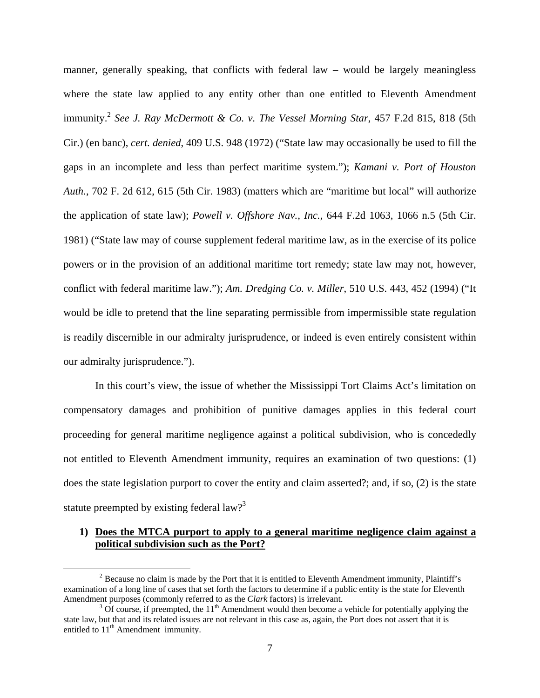manner, generally speaking, that conflicts with federal law – would be largely meaningless where the state law applied to any entity other than one entitled to Eleventh Amendment immunity.<sup>2</sup> *See J. Ray McDermott & Co. v. The Vessel Morning Star*, 457 F.2d 815, 818 (5th Cir.) (en banc), *cert. denied*, 409 U.S. 948 (1972) ("State law may occasionally be used to fill the gaps in an incomplete and less than perfect maritime system."); *Kamani v. Port of Houston Auth.*, 702 F. 2d 612, 615 (5th Cir. 1983) (matters which are "maritime but local" will authorize the application of state law); *Powell v. Offshore Nav., Inc.*, 644 F.2d 1063, 1066 n.5 (5th Cir. 1981) ("State law may of course supplement federal maritime law, as in the exercise of its police powers or in the provision of an additional maritime tort remedy; state law may not, however, conflict with federal maritime law."); *Am. Dredging Co. v. Miller*, 510 U.S. 443, 452 (1994) ("It would be idle to pretend that the line separating permissible from impermissible state regulation is readily discernible in our admiralty jurisprudence, or indeed is even entirely consistent within our admiralty jurisprudence.").

 In this court's view, the issue of whether the Mississippi Tort Claims Act's limitation on compensatory damages and prohibition of punitive damages applies in this federal court proceeding for general maritime negligence against a political subdivision, who is concededly not entitled to Eleventh Amendment immunity, requires an examination of two questions: (1) does the state legislation purport to cover the entity and claim asserted?; and, if so, (2) is the state statute preempted by existing federal law?<sup>3</sup>

### **1) Does the MTCA purport to apply to a general maritime negligence claim against a political subdivision such as the Port?**

 $\overline{a}$ 

 $2^2$  Because no claim is made by the Port that it is entitled to Eleventh Amendment immunity, Plaintiff's examination of a long line of cases that set forth the factors to determine if a public entity is the state for Eleventh Amendment purposes (commonly referred to as the *Clark* factors) is irrelevant.

 $3$  Of course, if preempted, the  $11<sup>th</sup>$  Amendment would then become a vehicle for potentially applying the state law, but that and its related issues are not relevant in this case as, again, the Port does not assert that it is entitled to  $11<sup>th</sup>$  Amendment immunity.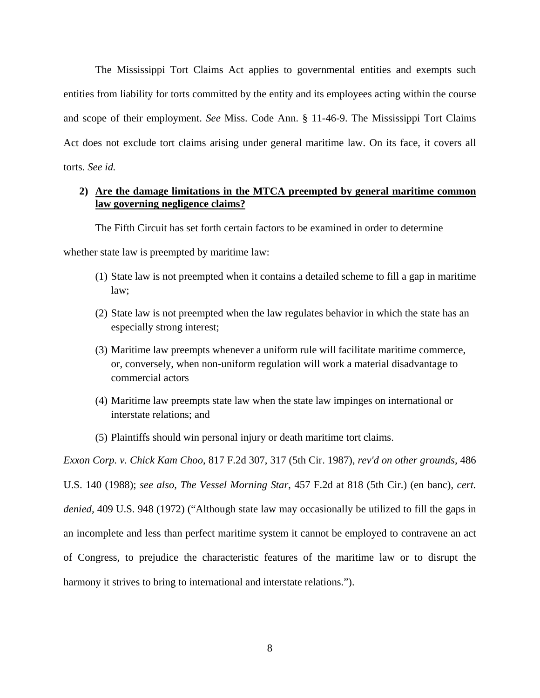The Mississippi Tort Claims Act applies to governmental entities and exempts such entities from liability for torts committed by the entity and its employees acting within the course and scope of their employment. *See* Miss. Code Ann. § 11-46-9. The Mississippi Tort Claims Act does not exclude tort claims arising under general maritime law. On its face, it covers all torts. *See id.* 

## **2) Are the damage limitations in the MTCA preempted by general maritime common law governing negligence claims?**

The Fifth Circuit has set forth certain factors to be examined in order to determine

whether state law is preempted by maritime law:

- (1) State law is not preempted when it contains a detailed scheme to fill a gap in maritime law;
- (2) State law is not preempted when the law regulates behavior in which the state has an especially strong interest;
- (3) Maritime law preempts whenever a uniform rule will facilitate maritime commerce, or, conversely, when non-uniform regulation will work a material disadvantage to commercial actors
- (4) Maritime law preempts state law when the state law impinges on international or interstate relations; and
- (5) Plaintiffs should win personal injury or death maritime tort claims.

*Exxon Corp. v. Chick Kam Choo*, 817 F.2d 307, 317 (5th Cir. 1987), *rev'd on other grounds,* 486 U.S. 140 (1988); *see also, The Vessel Morning Star*, 457 F.2d at 818 (5th Cir.) (en banc), *cert. denied,* 409 U.S. 948 (1972) ("Although state law may occasionally be utilized to fill the gaps in an incomplete and less than perfect maritime system it cannot be employed to contravene an act of Congress, to prejudice the characteristic features of the maritime law or to disrupt the harmony it strives to bring to international and interstate relations.").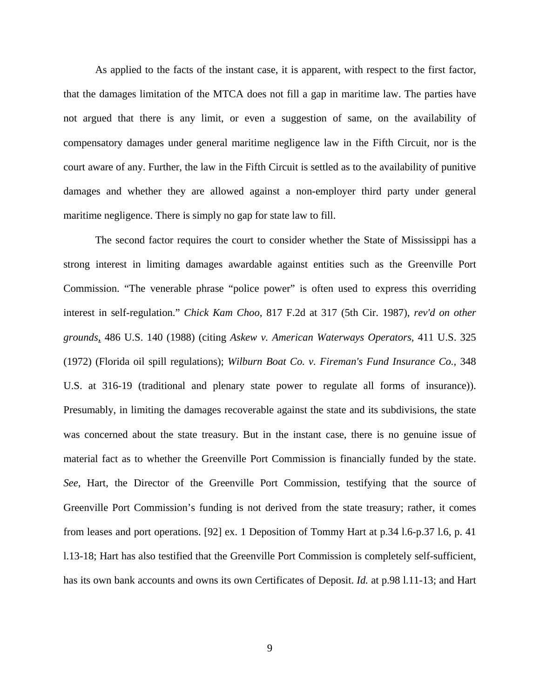As applied to the facts of the instant case, it is apparent, with respect to the first factor, that the damages limitation of the MTCA does not fill a gap in maritime law. The parties have not argued that there is any limit, or even a suggestion of same, on the availability of compensatory damages under general maritime negligence law in the Fifth Circuit, nor is the court aware of any. Further, the law in the Fifth Circuit is settled as to the availability of punitive damages and whether they are allowed against a non-employer third party under general maritime negligence. There is simply no gap for state law to fill.

 The second factor requires the court to consider whether the State of Mississippi has a strong interest in limiting damages awardable against entities such as the Greenville Port Commission. "The venerable phrase "police power" is often used to express this overriding interest in self-regulation." *Chick Kam Choo*, 817 F.2d at 317 (5th Cir. 1987), *rev'd on other grounds*, 486 U.S. 140 (1988) (citing *Askew v. American Waterways Operators,* 411 U.S. 325 (1972) (Florida oil spill regulations); *Wilburn Boat Co. v. Fireman's Fund Insurance Co.,* 348 U.S. at 316-19 (traditional and plenary state power to regulate all forms of insurance)). Presumably, in limiting the damages recoverable against the state and its subdivisions, the state was concerned about the state treasury. But in the instant case, there is no genuine issue of material fact as to whether the Greenville Port Commission is financially funded by the state. *See*, Hart, the Director of the Greenville Port Commission, testifying that the source of Greenville Port Commission's funding is not derived from the state treasury; rather, it comes from leases and port operations. [92] ex. 1 Deposition of Tommy Hart at p.34 l.6-p.37 l.6, p. 41 l.13-18; Hart has also testified that the Greenville Port Commission is completely self-sufficient, has its own bank accounts and owns its own Certificates of Deposit. *Id.* at p.98 l.11-13; and Hart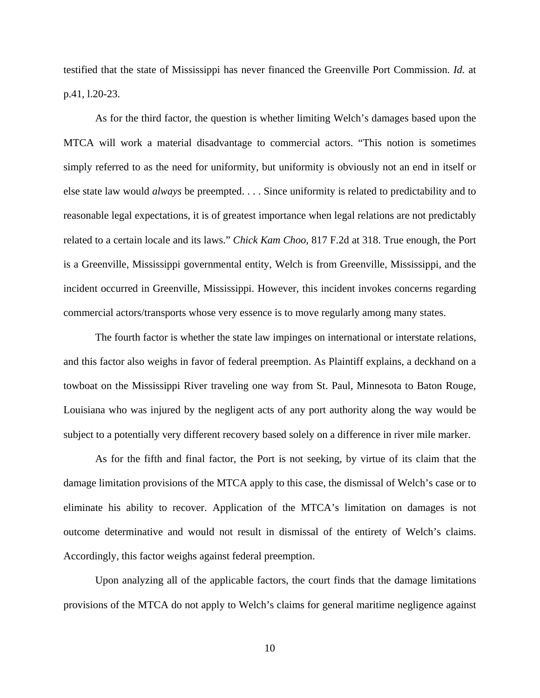testified that the state of Mississippi has never financed the Greenville Port Commission. *Id.* at p.41, l.20-23.

 As for the third factor, the question is whether limiting Welch's damages based upon the MTCA will work a material disadvantage to commercial actors. "This notion is sometimes simply referred to as the need for uniformity, but uniformity is obviously not an end in itself or else state law would *always* be preempted. . . . Since uniformity is related to predictability and to reasonable legal expectations, it is of greatest importance when legal relations are not predictably related to a certain locale and its laws." *Chick Kam Choo,* 817 F.2d at 318. True enough, the Port is a Greenville, Mississippi governmental entity, Welch is from Greenville, Mississippi, and the incident occurred in Greenville, Mississippi. However, this incident invokes concerns regarding commercial actors/transports whose very essence is to move regularly among many states.

 The fourth factor is whether the state law impinges on international or interstate relations, and this factor also weighs in favor of federal preemption. As Plaintiff explains, a deckhand on a towboat on the Mississippi River traveling one way from St. Paul, Minnesota to Baton Rouge, Louisiana who was injured by the negligent acts of any port authority along the way would be subject to a potentially very different recovery based solely on a difference in river mile marker.

 As for the fifth and final factor, the Port is not seeking, by virtue of its claim that the damage limitation provisions of the MTCA apply to this case, the dismissal of Welch's case or to eliminate his ability to recover. Application of the MTCA's limitation on damages is not outcome determinative and would not result in dismissal of the entirety of Welch's claims. Accordingly, this factor weighs against federal preemption.

 Upon analyzing all of the applicable factors, the court finds that the damage limitations provisions of the MTCA do not apply to Welch's claims for general maritime negligence against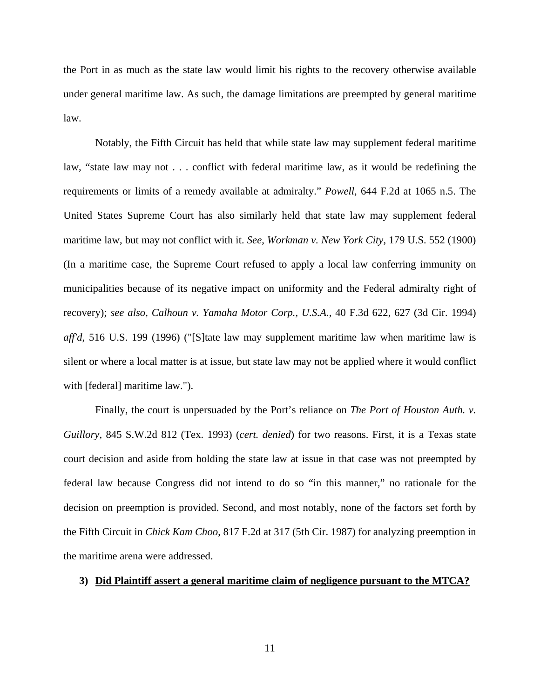the Port in as much as the state law would limit his rights to the recovery otherwise available under general maritime law. As such, the damage limitations are preempted by general maritime law.

 Notably, the Fifth Circuit has held that while state law may supplement federal maritime law, "state law may not . . . conflict with federal maritime law, as it would be redefining the requirements or limits of a remedy available at admiralty." *Powell*, 644 F.2d at 1065 n.5. The United States Supreme Court has also similarly held that state law may supplement federal maritime law, but may not conflict with it. *See*, *Workman v. New York City,* 179 U.S. 552 (1900) (In a maritime case, the Supreme Court refused to apply a local law conferring immunity on municipalities because of its negative impact on uniformity and the Federal admiralty right of recovery); *see also, Calhoun v. Yamaha Motor Corp., U.S.A.,* 40 F.3d 622, 627 (3d Cir. 1994) *aff'd*, 516 U.S. 199 (1996) ("[S]tate law may supplement maritime law when maritime law is silent or where a local matter is at issue, but state law may not be applied where it would conflict with [federal] maritime law.").

 Finally, the court is unpersuaded by the Port's reliance on *The Port of Houston Auth. v. Guillory*, 845 S.W.2d 812 (Tex. 1993) (*cert. denied*) for two reasons. First, it is a Texas state court decision and aside from holding the state law at issue in that case was not preempted by federal law because Congress did not intend to do so "in this manner," no rationale for the decision on preemption is provided. Second, and most notably, none of the factors set forth by the Fifth Circuit in *Chick Kam Choo*, 817 F.2d at 317 (5th Cir. 1987) for analyzing preemption in the maritime arena were addressed.

#### **3) Did Plaintiff assert a general maritime claim of negligence pursuant to the MTCA?**

11